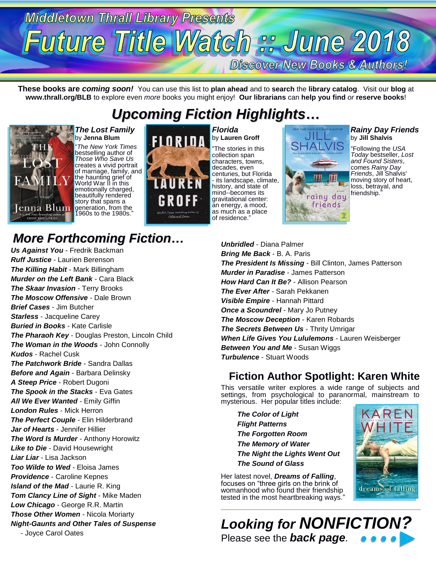# **Middletown Thrall Library Presents** Future Title Watch :: June 2018

**Discover New Books & Authors!** 

**These books are** *coming soon!* You can use this list to **plan ahead** and to **search** the **library catalog**. Visit our **blog** at **www.thrall.org/BLB** to explore even *more* books you might enjoy! **Our librarians** can **help you find** *or* **reserve books**!

### *Upcoming Fiction Highlights…*



*The Lost Family* by **Jenna Blum**

"*The New York Times*  bestselling author of *Those Who Save Us*  creates a vivid portrait of marriage, family, and the haunting grief of World War II in this emotionally charged, beautifully rendered story that spans a generation, from the 1960s to the 1980s."

*Florida* by **Lauren Groff** "The stories in this collection span characters, towns, decades, even centuries, but Florida - its landscape, climate, history, and state of mind--becomes its gravitational center: an energy, a mood, as much as a place of residence."



#### *Rainy Day Friends* by **Jill Shalvis**

"Following the *USA Today* bestseller, *Lost and Found Sisters*, comes *Rainy Day Friends*, Jill Shalvis' moving story of heart, loss, betrayal, and friendship."

### *More Forthcoming Fiction…*

*Us Against You* - Fredrik Backman *Ruff Justice* - Laurien Berenson *The Killing Habit* - Mark Billingham *Murder on the Left Bank* - Cara Black *The Skaar Invasion* - Terry Brooks *The Moscow Offensive* - Dale Brown *Brief Cases* - Jim Butcher *Starless* - Jacqueline Carey *Buried in Books* - Kate Carlisle *The Pharaoh Key* - Douglas Preston, Lincoln Child *The Woman in the Woods* - John Connolly *Kudos* - Rachel Cusk *The Patchwork Bride* - Sandra Dallas *Before and Again* - Barbara Delinsky *A Steep Price* - Robert Dugoni *The Spook in the Stacks* - Eva Gates *All We Ever Wanted* - Emily Giffin *London Rules* - Mick Herron *The Perfect Couple* - Elin Hilderbrand *Jar of Hearts* - Jennifer Hillier *The Word Is Murder* - Anthony Horowitz *Like to Die* - David Housewright *Liar Liar* - Lisa Jackson *Too Wilde to Wed* - Eloisa James *Providence* - Caroline Kepnes *Island of the Mad* - Laurie R. King *Tom Clancy Line of Sight* - Mike Maden *Low Chicago* - George R.R. Martin *Those Other Women* - Nicola Moriarty *Night-Gaunts and Other Tales of Suspense* - Joyce Carol Oates

*Unbridled* - Diana Palmer *Bring Me Back* - B. A. Paris *The President Is Missing* - Bill Clinton, James Patterson *Murder in Paradise* - James Patterson *How Hard Can It Be?* - Allison Pearson *The Ever After* - Sarah Pekkanen *Visible Empire* - Hannah Pittard *Once a Scoundrel* - Mary Jo Putney *The Moscow Deception* - Karen Robards *The Secrets Between Us* - Thrity Umrigar *When Life Gives You Lululemons* - Lauren Weisberger *Between You and Me* - Susan Wiggs *Turbulence* - Stuart Woods

#### **Fiction Author Spotlight: Karen White**

This versatile writer explores a wide range of subjects and settings, from psychological to paranormal, mainstream to mysterious. Her popular titles include:

*The Color of Light Flight Patterns The Forgotten Room The Memory of Water The Night the Lights Went Out The Sound of Glass*

Her latest novel, *Dreams of Falling*, focuses on "three girls on the brink of womanhood who found their friendship tested in the most heartbreaking ways."





\_\_\_\_\_\_\_\_\_\_\_\_\_\_\_\_\_\_\_\_\_\_\_\_\_\_\_\_\_\_\_\_\_\_\_\_\_\_\_\_\_\_\_\_\_\_\_\_\_\_\_\_\_\_\_\_\_\_\_\_\_\_\_\_\_\_\_\_\_\_\_\_\_\_\_\_\_\_\_\_\_\_\_\_\_\_\_\_\_\_\_\_\_\_\_\_\_\_\_\_\_